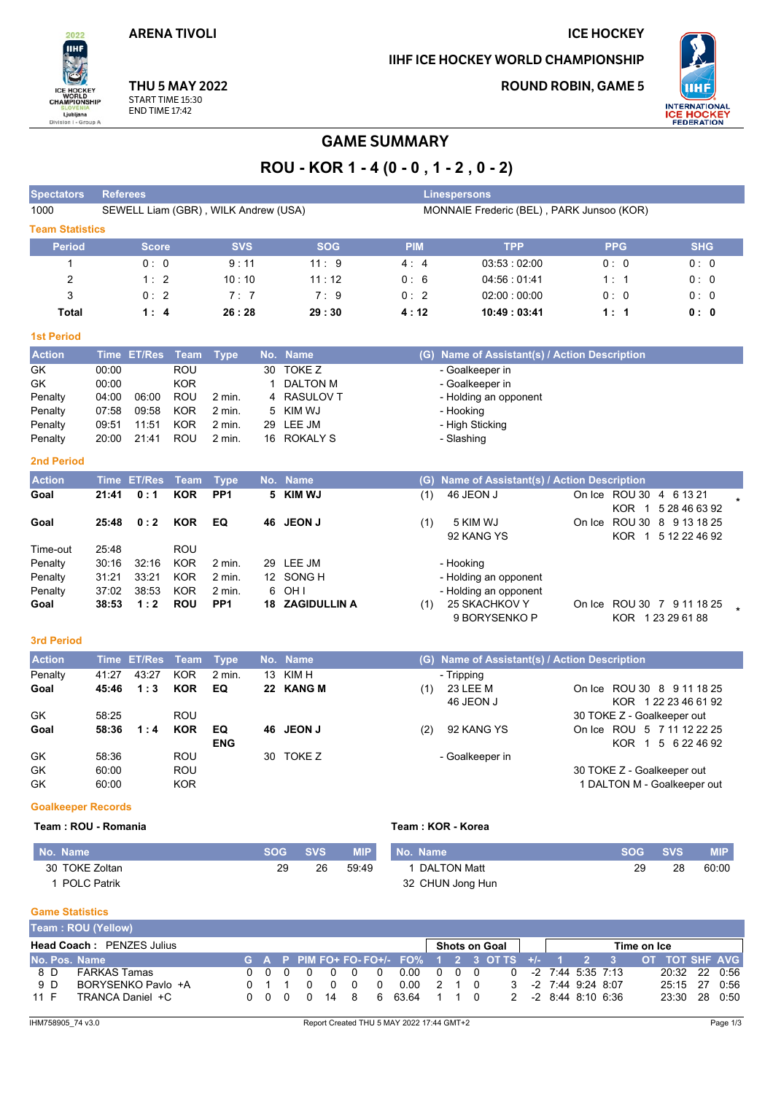**ARENA TIVOLI** 

2022 **IIHF** 

ICE HOCKEY<br>WORLD<br>CHAMPIONSHIP

 $\overline{D}$ 

Ljubljana<br>sion I - Group

# IIHF ICE HOCKEY WORLD CHAMPIONSHIP

**ROUND ROBIN, GAME 5** 

**ICE HOCKEY** 



**THU 5 MAY 2022** 

START TIME 15:30 **END TIME 17:42** 

# **GAME SUMMARY**

# ROU - KOR 1 - 4 (0 - 0, 1 - 2, 0 - 2)

| <b>Spectators</b>      | <b>Referees</b>                      |            |               |                                           | <b>Linespersons</b>                       |            |            |
|------------------------|--------------------------------------|------------|---------------|-------------------------------------------|-------------------------------------------|------------|------------|
| 1000                   | SEWELL Liam (GBR), WILK Andrew (USA) |            |               | MONNAIE Frederic (BEL), PARK Junsoo (KOR) |                                           |            |            |
| <b>Team Statistics</b> |                                      |            |               |                                           |                                           |            |            |
| <b>Period</b>          | <b>Score</b>                         | <b>SVS</b> | <b>SOG</b>    | <b>PIM</b>                                | <b>TPP</b>                                | <b>PPG</b> | <b>SHG</b> |
|                        | 0:0                                  | 9:11       | 11:9          | 4:4                                       | 03:53:02:00                               | 0:0        | 0:0        |
| 2                      | 1:2                                  | 10:10      | 11:12         | 0:6                                       | 04:56:01:41                               | 1:1        | 0:0        |
| 3                      | 0:2                                  | 7:7        | 7:9           | 0:2                                       | 02:00:00:00                               | 0:0        | 0:0        |
| <b>Total</b>           | 1:4                                  | 26:28      | 29:30         | 4:12                                      | 10:49:03:41                               | 1:1        | 0: 0       |
| <b>1st Period</b>      |                                      |            |               |                                           |                                           |            |            |
| <b>Action</b>          | Time ET/Res Team Type                |            | No. Name      | (G):                                      | Name of Assistant(s) / Action Description |            |            |
| GK.                    | 00:00<br>ROU                         |            | $30$ TOKE $7$ |                                           | - Goalkeeper in                           |            |            |

| GK        | <b>00:00</b> |       | ROU        |        | 30. | TOKE Z           | - Goalkeeper in       |
|-----------|--------------|-------|------------|--------|-----|------------------|-----------------------|
| <b>GK</b> | 00:00        |       | <b>KOR</b> |        |     | DALTON M         | - Goalkeeper in       |
| Penalty   | 04:00        | 06.00 | ROU        | 2 min. | 4   | <b>RASULOV T</b> | - Holding an opponent |
| Penalty   | 07:58        | 09:58 | KOR        | 2 min. |     | 5 KIM WJ         | - Hooking             |
| Penalty   | 09:51        | 11:51 | <b>KOR</b> | 2 min. |     | 29 LEE JM        | - High Sticking       |
| Penalty   | 20:00        | 21:41 | ROU        | 2 min. |     | 16 ROKALY S      | - Slashing            |
|           |              |       |            |        |     |                  |                       |

## **2nd Period**

| <b>Action</b> |       | Time ET/Res Team Type |            |                   | No. Name               |     | (G) Name of Assistant(s) / Action Description |                        |                                             |  |
|---------------|-------|-----------------------|------------|-------------------|------------------------|-----|-----------------------------------------------|------------------------|---------------------------------------------|--|
| Goal          | 21:41 | 0:1                   | <b>KOR</b> | PP <sub>1</sub>   | 5 KIM WJ               | (1) | 46 JEON J                                     | KOR.<br>$\overline{1}$ | On Ice ROU 30 4 6 13 21<br>5 28 46 63 92    |  |
| Goal          | 25:48 | 0:2                   | <b>KOR</b> | EQ                | 46 JEON J              | (1) | 5 KIM WJ<br>92 KANG YS                        | KOR 1                  | On Ice ROU 30 8 9 13 18 25<br>5 12 22 46 92 |  |
| Time-out      | 25:48 |                       | <b>ROU</b> |                   |                        |     |                                               |                        |                                             |  |
| Penalty       | 30:16 | 32:16                 | <b>KOR</b> | 2 min.            | 29 LEE JM              |     | - Hooking                                     |                        |                                             |  |
| Penalty       | 31:21 | 33:21                 | <b>KOR</b> | 2 min.            | 12 SONG H              |     | - Holding an opponent                         |                        |                                             |  |
| Penalty       | 37:02 | 38.53                 | KOR        | $2 \text{ min}$ . | 6 OH I                 |     | - Holding an opponent                         |                        |                                             |  |
| Goal          | 38:53 | 1:2                   | <b>ROU</b> | PP <sub>1</sub>   | <b>18 ZAGIDULLIN A</b> | (1) | 25 SKACHKOV Y<br>9 BORYSENKO P                | KOR.                   | On Ice ROU 30 7 9 11 18 25<br>1 23 29 61 88 |  |

#### 3rd Period

| <b>Action</b> |       | Time ET/Res Team Type |            |            | No. Name  |     | (G) Name of Assistant(s) / Action Description |                             |
|---------------|-------|-----------------------|------------|------------|-----------|-----|-----------------------------------------------|-----------------------------|
| Penalty       | 41:27 | 43.27                 | <b>KOR</b> | 2 min.     | 13 KIM H  |     | - Tripping                                    |                             |
| Goal          | 45:46 | 1:3                   | <b>KOR</b> | EQ         | 22 KANG M | (1) | 23 LEE M                                      | On Ice ROU 30 8 9 11 18 25  |
|               |       |                       |            |            |           |     | 46 JEON J                                     | KOR 122 23 46 61 92         |
| GK            | 58:25 |                       | <b>ROU</b> |            |           |     |                                               | 30 TOKE Z - Goalkeeper out  |
| Goal          | 58:36 | 1:4                   | <b>KOR</b> | EQ         | 46 JEON J | (2) | 92 KANG YS                                    | On Ice ROU 5 7 11 12 22 25  |
|               |       |                       |            | <b>ENG</b> |           |     |                                               | KOR 1 5 6 22 46 92          |
| GK            | 58:36 |                       | <b>ROU</b> |            | 30 TOKE Z |     | - Goalkeeper in                               |                             |
| GK            | 60.00 |                       | <b>ROU</b> |            |           |     |                                               | 30 TOKE Z - Goalkeeper out  |
| GK            | 60.00 |                       | <b>KOR</b> |            |           |     |                                               | 1 DALTON M - Goalkeeper out |

## **Goalkeeper Records**

#### Team: ROU - Romania

### Team: KOR - Korea

| No. Name           | <b>SOG SVS</b> |    | <b>MIP</b> | No. Name         | SOG SVS |    | <b>MIP</b> |
|--------------------|----------------|----|------------|------------------|---------|----|------------|
| 30 TOKE Zoltan     | 29             | 26 | 59:49      | 1 DALTON Matt    | 29      | 28 | 60:00      |
| <b>POLC Patrik</b> |                |    |            | 32 CHUN Jong Hun |         |    |            |

# **Game Statistics**

|               | Team : ROU (Yellow)              |  |       |  |                                        |     |  |          |                                                                 |                 |  |  |  |  |                     |                                                                 |             |               |  |
|---------------|----------------------------------|--|-------|--|----------------------------------------|-----|--|----------|-----------------------------------------------------------------|-----------------|--|--|--|--|---------------------|-----------------------------------------------------------------|-------------|---------------|--|
|               | <b>Head Coach: PENZES Julius</b> |  |       |  |                                        |     |  |          |                                                                 | Shots on Goal I |  |  |  |  |                     |                                                                 | Time on Ice |               |  |
| No. Pos. Name |                                  |  |       |  |                                        |     |  |          | G A P PIM FO+ FO-FO+/- FO% 1 2 3 OT TS +/- 1 2 3 OT TOT SHF AVG |                 |  |  |  |  |                     |                                                                 |             |               |  |
| 8 D           | FARKAS Tamas                     |  |       |  | $0\quad 0\quad 0\quad 0\quad 0\quad 0$ |     |  | $\Omega$ | 0.00 0 0 0                                                      |                 |  |  |  |  |                     | $0 \quad -2 \quad 7 \quad 44 \quad 5 \quad 35 \quad 7 \quad 13$ |             | 20:32 22 0:56 |  |
| 9 D           | BORYSENKO Pavlo +A               |  | 0 1 1 |  | $\Omega$                               | 0 0 |  | $\Omega$ | 0.00                                                            | 210             |  |  |  |  | 3 -2 7:44 9:24 8:07 |                                                                 |             | 25:15 27 0:56 |  |
| 11 F          | TRANCA Daniel +C                 |  |       |  | 0 0 0 0 14 8                           |     |  |          | 6 6364 1 1 0                                                    |                 |  |  |  |  | 2 -2 8:44 8:10 6:36 |                                                                 |             | 23:30 28 0:50 |  |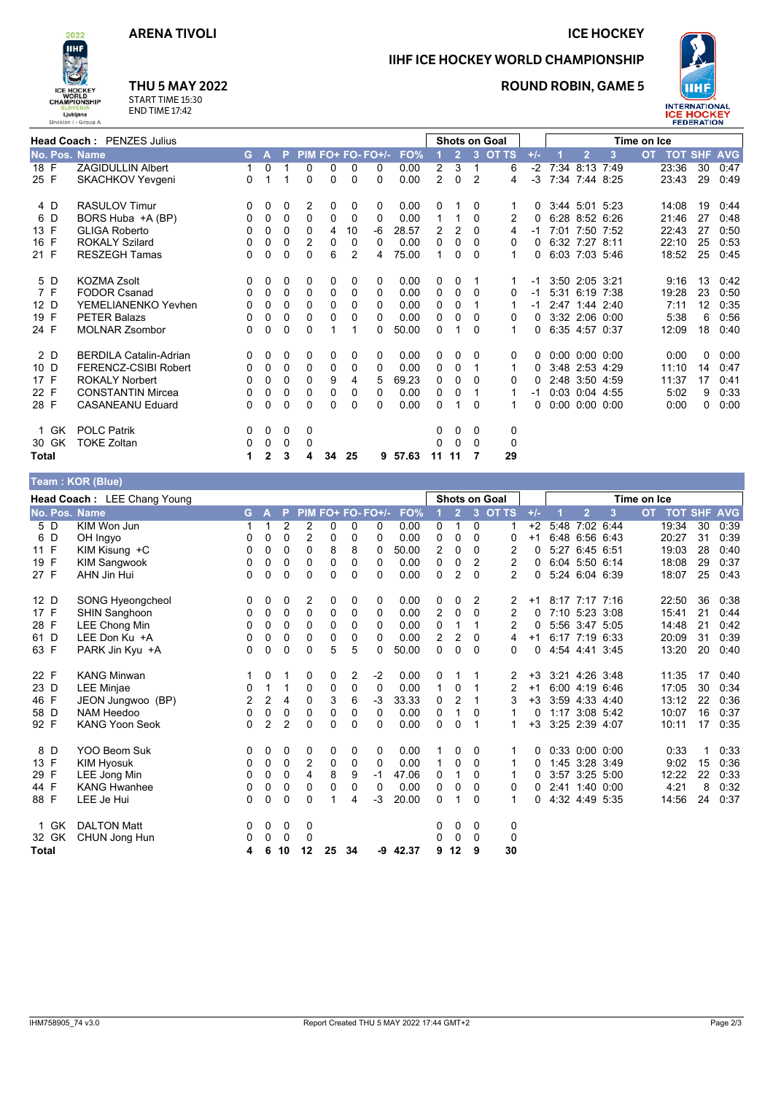## **ICE HOCKEY**

**ROUND ROBIN, GAME 5** 

IIHF ICE HOCKEY WORLD CHAMPIONSHIP



ICE HOCKEY<br>WORLD<br>CHAMPIONSHIP Ljubljana<br>
ision I - Group A

2022 **IIHF** 

Div

# **THU 5 MAY 2022**

START TIME 15:30<br>END TIME 17:42

| <b>Head Coach: PENZES Julius</b> |                               |          |              |          |   |                |                | Shots on Goal     |         |                |                |                |              | Time on Ice |  |                      |   |  |                |    |      |
|----------------------------------|-------------------------------|----------|--------------|----------|---|----------------|----------------|-------------------|---------|----------------|----------------|----------------|--------------|-------------|--|----------------------|---|--|----------------|----|------|
| No. Pos. Name                    |                               | G.       | $\mathbf{A}$ | P        |   |                |                | PIM FO+ FO- FO+/- | FO%     |                | $\overline{2}$ | $\overline{3}$ | <b>OT TS</b> | $+/-$       |  | $\overline{2}$       | 3 |  | OT TOT SHF AVG |    |      |
| 18 F                             | <b>ZAGIDULLIN Albert</b>      | 1        | 0            |          | 0 | 0              | 0              | 0                 | 0.00    | 2              | 3              | 1              | 6            | $-2$        |  | 7:34 8:13 7:49       |   |  | 23:36          | 30 | 0:47 |
| 25 F                             | <b>SKACHKOV Yevgeni</b>       | 0        |              |          | 0 | 0              | 0              | $\Omega$          | 0.00    | $\overline{2}$ | $\Omega$       | 2              | 4            | $-3$        |  | 7:34 7:44 8:25       |   |  | 23:43          | 29 | 0:49 |
| 4 D                              | <b>RASULOV Timur</b>          | 0        | 0            | 0        | 2 | 0              | 0              | 0                 | 0.00    | 0              | 1              | 0              |              | 0           |  | 3:44 5:01 5:23       |   |  | 14:08          | 19 | 0.44 |
| 6 D                              | BORS Huba +A (BP)             | 0        | 0            | 0        | 0 | 0              | 0              | 0                 | 0.00    | 1              | 1              | $\Omega$       | 2            | $\Omega$    |  | 6:28 8:52 6:26       |   |  | 21:46          | 27 | 0:48 |
| 13 F                             | <b>GLIGA Roberto</b>          | 0        | 0            | 0        | 0 | 4              | 10             | -6                | 28.57   | 2              | $\overline{2}$ | $\Omega$       | 4            | -1          |  | 7:01 7:50 7:52       |   |  | 22:43          | 27 | 0:50 |
| 16 F                             | <b>ROKALY Szilard</b>         | 0        | $\mathbf 0$  | 0        | 2 | 0              | 0              | 0                 | 0.00    | 0              | 0              | $\Omega$       | 0            | 0           |  | 6:32 7:27 8:11       |   |  | 22:10          | 25 | 0:53 |
| 21 F                             | <b>RESZEGH Tamas</b>          | 0        | 0            | $\Omega$ | 0 | 6              | $\overline{2}$ | 4                 | 75.00   | 1              | $\Omega$       | $\Omega$       | 1            | 0           |  | 6:03 7:03 5:46       |   |  | 18:52          | 25 | 0:45 |
| 5 D                              | <b>KOZMA Zsolt</b>            | 0        | 0            | 0        | 0 | 0              | 0              | 0                 | 0.00    | 0              | 0              | 1              |              | -1          |  | 3:50 2:05 3:21       |   |  | 9:16           | 13 | 0:42 |
| 7 F                              | <b>FODOR Csanad</b>           | $\Omega$ | 0            | 0        | 0 | 0              | 0              | 0                 | 0.00    | 0              | 0              | $\Omega$       | 0            | $-1$        |  | 5:31 6:19 7:38       |   |  | 19:28          | 23 | 0:50 |
| 12 D                             | YEMELIANENKO Yevhen           | 0        | 0            | 0        | 0 | 0              | 0              | 0                 | 0.00    | 0              | 0              |                |              | -1          |  | 2.47 1:44 2:40       |   |  | 7:11           | 12 | 0:35 |
| 19 F                             | <b>PETER Balazs</b>           | 0        | 0            | 0        | 0 | 0              | 0              | 0                 | 0.00    | 0              | 0              | 0              | 0            | 0           |  | 3:32 2:06 0:00       |   |  | 5:38           | 6  | 0:56 |
| 24 F                             | <b>MOLNAR Zsombor</b>         | $\Omega$ | $\mathbf 0$  | $\Omega$ | 0 | $\overline{1}$ | 1              | 0                 | 50.00   | 0              | 1              | 0              |              | 0           |  | 6:35 4:57 0:37       |   |  | 12:09          | 18 | 0:40 |
| 2 D                              | <b>BERDILA Catalin-Adrian</b> | $\Omega$ | 0            | 0        | 0 | 0              | 0              | 0                 | 0.00    | 0              | 0              | 0              | 0            | 0           |  | $0.00\ 0.00\ 0.00$   |   |  | 0:00           | 0  | 0:00 |
| 10 D                             | FERENCZ-CSIBI Robert          | 0        | 0            | 0        | 0 | 0              | 0              | 0                 | 0.00    | 0              | 0              | 1              |              | 0           |  | 3:48 2:53 4:29       |   |  | 11:10          | 14 | 0:47 |
| 17 F                             | <b>ROKALY Norbert</b>         | 0        | 0            | $\Omega$ | 0 | 9              | 4              | 5                 | 69.23   | 0              | 0              | 0              | 0            | 0           |  | 2:48 3:50 4:59       |   |  | 11:37          | 17 | 0:41 |
| 22 F                             | <b>CONSTANTIN Mircea</b>      | 0        | 0            | 0        | 0 | 0              | 0              | 0                 | 0.00    | 0              | 0              | 1              |              | -1          |  | $0.03$ $0.04$ 4:55   |   |  | 5:02           | 9  | 0:33 |
| 28 F                             | <b>CASANEANU Eduard</b>       | 0        | 0            | 0        | 0 | 0              | 0              | 0                 | 0.00    | 0              | 1              | 0              |              | $\Omega$    |  | $0:00$ $0:00$ $0:00$ |   |  | 0:00           | 0  | 0:00 |
| 1 GK                             | <b>POLC Patrik</b>            | 0        | 0            | 0        | 0 |                |                |                   |         | 0              | 0              | 0              | 0            |             |  |                      |   |  |                |    |      |
| 30 GK                            | <b>TOKE Zoltan</b>            | 0        | 0            | 0        | 0 |                |                |                   |         | 0              | 0              | $\mathbf{0}$   | 0            |             |  |                      |   |  |                |    |      |
| Total                            |                               | 1        | $\mathbf{2}$ | 3        | 4 | 34             | 25             |                   | 9 57.63 | 11             | 11             | 7              | 29           |             |  |                      |   |  |                |    |      |
|                                  | Team: KOR (Blue)              |          |              |          |   |                |                |                   |         |                |                |                |              |             |  |                      |   |  |                |    |      |

|               | Head Coach: LEE Chang Young |    | <b>Shots on Goal</b> |                |             |          |             |                   | Time on Ice |                |                |                |                |       |      |                              |      |           |                |    |            |
|---------------|-----------------------------|----|----------------------|----------------|-------------|----------|-------------|-------------------|-------------|----------------|----------------|----------------|----------------|-------|------|------------------------------|------|-----------|----------------|----|------------|
| No. Pos. Name |                             | G. | A                    | P              |             |          |             | PIM FO+ FO- FO+/- | FO%         |                | $\overline{2}$ | $\overline{3}$ | <b>OT TS</b>   | $+/-$ |      | $\overline{2}$               | 3    | <b>OT</b> | <b>TOT SHF</b> |    | <b>AVG</b> |
| 5 D           | KIM Won Jun                 | 1  | 1                    | $\overline{2}$ | 2           | $\Omega$ | 0           | 0                 | 0.00        | 0              | 1              | $\mathbf{0}$   | -1             | $+2$  | 5:48 | 7:02 6:44                    |      |           | 19:34          | 30 | 0:39       |
| 6 D           | OH Ingyo                    | 0  | 0                    | 0              | 2           | 0        | 0           | 0                 | 0.00        | 0              | 0              | 0              | 0              | $+1$  |      | 6:48 6:56 6:43               |      |           | 20:27          | 31 | 0:39       |
| 11 F          | KIM Kisung +C               | 0  | 0                    | 0              | 0           | 8        | 8           | 0                 | 50.00       | $\overline{2}$ | 0              | 0              | 2              | 0     | 5:27 | 6:45 6:51                    |      |           | 19:03          | 28 | 0:40       |
| 19 F          | <b>KIM Sangwook</b>         | 0  | 0                    | 0              | 0           | 0        | $\mathbf 0$ | 0                 | 0.00        | 0              | 0              | 2              | $\overline{2}$ | 0     |      | 6:04 5:50 6:14               |      |           | 18:08          | 29 | 0:37       |
| 27 F          | AHN Jin Hui                 | 0  | 0                    | 0              | 0           | $\Omega$ | $\Omega$    | 0                 | 0.00        | 0              | $\overline{2}$ | $\mathbf{0}$   | $\overline{2}$ | 0     |      | 5:24 6:04 6:39               |      |           | 18:07          | 25 | 0:43       |
| 12 D          | SONG Hyeongcheol            | 0  | 0                    | 0              | 2           | 0        | 0           | 0                 | 0.00        | 0              | 0              | 2              | 2              | $+1$  |      | 8:17 7:17                    | 7:16 |           | 22:50          | 36 | 0:38       |
| 17 F          | <b>SHIN Sanghoon</b>        | 0  | 0                    | 0              | 0           | 0        | 0           | 0                 | 0.00        | 2              | 0              | $\Omega$       | 2              | 0     |      | 7:10 5:23 3:08               |      |           | 15:41          | 21 | 0:44       |
| 28 F          | <b>LEE Chong Min</b>        | 0  | 0                    | 0              | 0           | 0        | 0           | 0                 | 0.00        | 0              |                | 1              | 2              | 0     |      | 5:56 3:47 5:05               |      |           | 14:48          | 21 | 0:42       |
| 61 D          | LEE Don Ku +A               | 0  | 0                    | 0              | 0           | 0        | 0           | 0                 | 0.00        | $\overline{2}$ | 2              | $\Omega$       | 4              | $+1$  |      | 6:17 7:19 6:33               |      |           | 20:09          | 31 | 0:39       |
| 63 F          | PARK Jin Kyu +A             | 0  | 0                    | 0              | $\Omega$    | 5        | 5           | 0                 | 50.00       | 0              | 0              | $\Omega$       | 0              | 0     |      | 4.54 4.41                    | 3:45 |           | 13:20          | 20 | 0:40       |
| 22 F          | <b>KANG Minwan</b>          |    | 0                    |                | 0           | 0        | 2           | -2                | 0.00        | 0              |                |                | 2              | $+3$  |      | 3:21 4:26 3:48               |      |           | 11:35          | 17 | 0:40       |
| 23 D          | LEE Minjae                  | 0  | 1                    | 1              | 0           | 0        | 0           | 0                 | 0.00        | $\mathbf{1}$   | 0              |                | 2              | $+1$  |      | 6:00 4:19 6:46               |      |           | 17:05          | 30 | 0:34       |
| 46 F          | JEON Jungwoo (BP)           | 2  | 2                    | 4              | 0           | 3        | 6           | $-3$              | 33.33       | 0              | $\overline{2}$ | 1              | 3              | $+3$  |      | 3:59 4:33 4:40               |      |           | 13:12          | 22 | 0:36       |
| 58 D          | NAM Heedoo                  | 0  | 0                    | 0              | $\mathbf 0$ | 0        | 0           | 0                 | 0.00        | 0              | 1              | $\Omega$       | 1              | 0     |      | 1:17 3:08 5:42               |      |           | 10:07          | 16 | 0:37       |
| 92 F          | <b>KANG Yoon Seok</b>       | 0  | 2                    | $\overline{2}$ | $\Omega$    | $\Omega$ | $\Omega$    | $\Omega$          | 0.00        | $\Omega$       | $\Omega$       | -1             | 1              | $+3$  |      | 3:25 2:39 4:07               |      |           | 10:11          | 17 | 0:35       |
| 8 D           | YOO Beom Suk                | 0  | 0                    | 0              | 0           | 0        | 0           | 0                 | 0.00        |                | $\Omega$       | 0              |                | 0     |      | $0.33 \quad 0.00 \quad 0.00$ |      |           | 0:33           |    | 0:33       |
| 13 F          | <b>KIM Hyosuk</b>           | 0  | 0                    | 0              | 2           | 0        | 0           | 0                 | 0.00        | $\mathbf{1}$   | 0              | 0              | 1              | 0     |      | 1:45 3:28 3:49               |      |           | 9:02           | 15 | 0:36       |
| 29 F          | LEE Jong Min                | 0  | 0                    | 0              | 4           | 8        | 9           | -1                | 47.06       | 0              | 1              | 0              | 1              | 0     |      | 3:57 3:25 5:00               |      |           | 12:22          | 22 | 0:33       |
| 44 F          | <b>KANG Hwanhee</b>         | 0  | 0                    | 0              | 0           | 0        | 0           | 0                 | 0.00        | 0              | 0              | $\Omega$       | 0              | 0     |      | 2:41 1:40 0:00               |      |           | 4:21           | 8  | 0:32       |
| 88 F          | LEE Je Hui                  | 0  | 0                    | 0              | $\Omega$    |          | 4           | $-3$              | 20.00       | $\Omega$       |                | $\Omega$       | $\mathbf 1$    | 0     |      | 4:32 4:49 5:35               |      |           | 14:56          | 24 | 0:37       |
| GK<br>1       | <b>DALTON Matt</b>          | 0  | 0                    | 0              | 0           |          |             |                   |             | 0              | 0              | 0              | 0              |       |      |                              |      |           |                |    |            |
| 32 GK         | CHUN Jong Hun               | 0  | 0                    | 0              | 0           |          |             |                   |             | 0              | 0              | $\mathbf{0}$   | 0              |       |      |                              |      |           |                |    |            |
| <b>Total</b>  |                             | 4  | 6                    | 10             | 12          | 25       | 34          |                   | $-9$ 42.37  | 9              | 12             | 9              | 30             |       |      |                              |      |           |                |    |            |